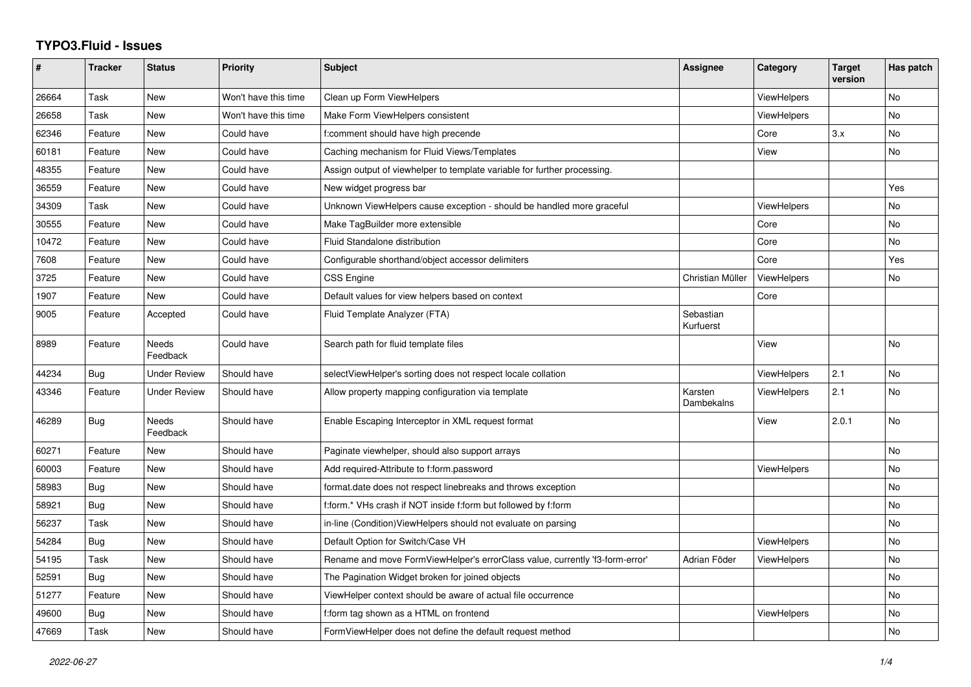## **TYPO3.Fluid - Issues**

| #     | <b>Tracker</b> | <b>Status</b>       | <b>Priority</b>      | <b>Subject</b>                                                               | Assignee               | Category           | <b>Target</b><br>version | Has patch |
|-------|----------------|---------------------|----------------------|------------------------------------------------------------------------------|------------------------|--------------------|--------------------------|-----------|
| 26664 | Task           | New                 | Won't have this time | Clean up Form ViewHelpers                                                    |                        | ViewHelpers        |                          | No        |
| 26658 | Task           | New                 | Won't have this time | Make Form ViewHelpers consistent                                             |                        | ViewHelpers        |                          | <b>No</b> |
| 62346 | Feature        | New                 | Could have           | f:comment should have high precende                                          |                        | Core               | 3.x                      | No        |
| 60181 | Feature        | New                 | Could have           | Caching mechanism for Fluid Views/Templates                                  |                        | View               |                          | <b>No</b> |
| 48355 | Feature        | New                 | Could have           | Assign output of viewhelper to template variable for further processing.     |                        |                    |                          |           |
| 36559 | Feature        | New                 | Could have           | New widget progress bar                                                      |                        |                    |                          | Yes       |
| 34309 | Task           | New                 | Could have           | Unknown ViewHelpers cause exception - should be handled more graceful        |                        | <b>ViewHelpers</b> |                          | No        |
| 30555 | Feature        | New                 | Could have           | Make TagBuilder more extensible                                              |                        | Core               |                          | No        |
| 10472 | Feature        | New                 | Could have           | Fluid Standalone distribution                                                |                        | Core               |                          | <b>No</b> |
| 7608  | Feature        | New                 | Could have           | Configurable shorthand/object accessor delimiters                            |                        | Core               |                          | Yes       |
| 3725  | Feature        | New                 | Could have           | <b>CSS Engine</b>                                                            | Christian Müller       | <b>ViewHelpers</b> |                          | No        |
| 1907  | Feature        | New                 | Could have           | Default values for view helpers based on context                             |                        | Core               |                          |           |
| 9005  | Feature        | Accepted            | Could have           | Fluid Template Analyzer (FTA)                                                | Sebastian<br>Kurfuerst |                    |                          |           |
| 8989  | Feature        | Needs<br>Feedback   | Could have           | Search path for fluid template files                                         |                        | View               |                          | No        |
| 44234 | Bug            | <b>Under Review</b> | Should have          | selectViewHelper's sorting does not respect locale collation                 |                        | ViewHelpers        | 2.1                      | <b>No</b> |
| 43346 | Feature        | <b>Under Review</b> | Should have          | Allow property mapping configuration via template                            | Karsten<br>Dambekalns  | <b>ViewHelpers</b> | 2.1                      | No        |
| 46289 | Bug            | Needs<br>Feedback   | Should have          | Enable Escaping Interceptor in XML request format                            |                        | View               | 2.0.1                    | No        |
| 60271 | Feature        | New                 | Should have          | Paginate viewhelper, should also support arrays                              |                        |                    |                          | No        |
| 60003 | Feature        | New                 | Should have          | Add required-Attribute to f:form.password                                    |                        | <b>ViewHelpers</b> |                          | <b>No</b> |
| 58983 | Bug            | New                 | Should have          | format.date does not respect linebreaks and throws exception                 |                        |                    |                          | No        |
| 58921 | <b>Bug</b>     | New                 | Should have          | f:form.* VHs crash if NOT inside f:form but followed by f:form               |                        |                    |                          | No        |
| 56237 | Task           | New                 | Should have          | in-line (Condition) View Helpers should not evaluate on parsing              |                        |                    |                          | No        |
| 54284 | <b>Bug</b>     | New                 | Should have          | Default Option for Switch/Case VH                                            |                        | ViewHelpers        |                          | <b>No</b> |
| 54195 | Task           | New                 | Should have          | Rename and move FormViewHelper's errorClass value, currently 'f3-form-error' | Adrian Föder           | ViewHelpers        |                          | No        |
| 52591 | <b>Bug</b>     | New                 | Should have          | The Pagination Widget broken for joined objects                              |                        |                    |                          | <b>No</b> |
| 51277 | Feature        | New                 | Should have          | ViewHelper context should be aware of actual file occurrence                 |                        |                    |                          | No        |
| 49600 | Bug            | New                 | Should have          | f:form tag shown as a HTML on frontend                                       |                        | ViewHelpers        |                          | <b>No</b> |
| 47669 | Task           | New                 | Should have          | FormViewHelper does not define the default request method                    |                        |                    |                          | <b>No</b> |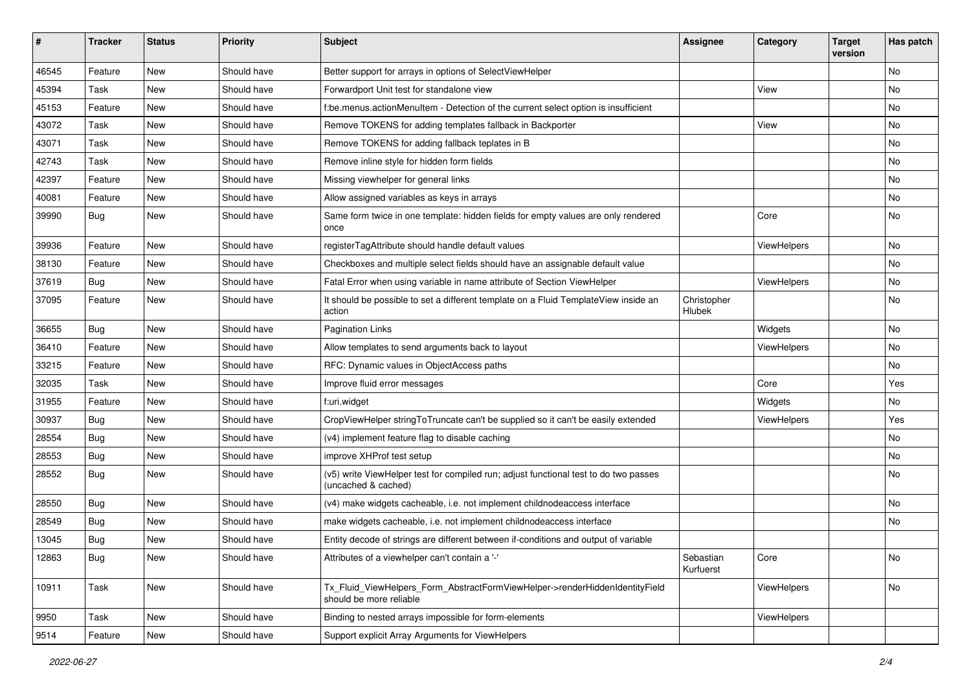| #     | <b>Tracker</b> | <b>Status</b> | <b>Priority</b> | <b>Subject</b>                                                                                              | <b>Assignee</b>        | Category    | <b>Target</b><br>version | Has patch |
|-------|----------------|---------------|-----------------|-------------------------------------------------------------------------------------------------------------|------------------------|-------------|--------------------------|-----------|
| 46545 | Feature        | New           | Should have     | Better support for arrays in options of SelectViewHelper                                                    |                        |             |                          | <b>No</b> |
| 45394 | Task           | New           | Should have     | Forwardport Unit test for standalone view                                                                   |                        | View        |                          | No        |
| 45153 | Feature        | New           | Should have     | f:be.menus.actionMenuItem - Detection of the current select option is insufficient                          |                        |             |                          | No        |
| 43072 | Task           | New           | Should have     | Remove TOKENS for adding templates fallback in Backporter                                                   |                        | View        |                          | No        |
| 43071 | Task           | New           | Should have     | Remove TOKENS for adding fallback teplates in B                                                             |                        |             |                          | No        |
| 42743 | Task           | New           | Should have     | Remove inline style for hidden form fields                                                                  |                        |             |                          | No        |
| 42397 | Feature        | New           | Should have     | Missing viewhelper for general links                                                                        |                        |             |                          | No        |
| 40081 | Feature        | New           | Should have     | Allow assigned variables as keys in arrays                                                                  |                        |             |                          | No        |
| 39990 | Bug            | New           | Should have     | Same form twice in one template: hidden fields for empty values are only rendered<br>once                   |                        | Core        |                          | No        |
| 39936 | Feature        | New           | Should have     | registerTagAttribute should handle default values                                                           |                        | ViewHelpers |                          | No        |
| 38130 | Feature        | New           | Should have     | Checkboxes and multiple select fields should have an assignable default value                               |                        |             |                          | No        |
| 37619 | Bug            | New           | Should have     | Fatal Error when using variable in name attribute of Section ViewHelper                                     |                        | ViewHelpers |                          | No        |
| 37095 | Feature        | New           | Should have     | It should be possible to set a different template on a Fluid TemplateView inside an<br>action               | Christopher<br>Hlubek  |             |                          | No        |
| 36655 | Bug            | New           | Should have     | <b>Pagination Links</b>                                                                                     |                        | Widgets     |                          | No        |
| 36410 | Feature        | New           | Should have     | Allow templates to send arguments back to layout                                                            |                        | ViewHelpers |                          | No        |
| 33215 | Feature        | New           | Should have     | RFC: Dynamic values in ObjectAccess paths                                                                   |                        |             |                          | No        |
| 32035 | Task           | New           | Should have     | Improve fluid error messages                                                                                |                        | Core        |                          | Yes       |
| 31955 | Feature        | New           | Should have     | f:uri.widget                                                                                                |                        | Widgets     |                          | No        |
| 30937 | Bug            | New           | Should have     | CropViewHelper stringToTruncate can't be supplied so it can't be easily extended                            |                        | ViewHelpers |                          | Yes       |
| 28554 | Bug            | New           | Should have     | (v4) implement feature flag to disable caching                                                              |                        |             |                          | No        |
| 28553 | Bug            | New           | Should have     | improve XHProf test setup                                                                                   |                        |             |                          | No        |
| 28552 | Bug            | New           | Should have     | (v5) write ViewHelper test for compiled run; adjust functional test to do two passes<br>(uncached & cached) |                        |             |                          | No        |
| 28550 | Bug            | New           | Should have     | (v4) make widgets cacheable, i.e. not implement childnodeaccess interface                                   |                        |             |                          | No        |
| 28549 | Bug            | New           | Should have     | make widgets cacheable, i.e. not implement childnodeaccess interface                                        |                        |             |                          | <b>No</b> |
| 13045 | Bug            | New           | Should have     | Entity decode of strings are different between if-conditions and output of variable                         |                        |             |                          |           |
| 12863 | Bug            | New           | Should have     | Attributes of a viewhelper can't contain a '-'                                                              | Sebastian<br>Kurfuerst | Core        |                          | No        |
| 10911 | Task           | New           | Should have     | Tx_Fluid_ViewHelpers_Form_AbstractFormViewHelper->renderHiddenIdentityField<br>should be more reliable      |                        | ViewHelpers |                          | No        |
| 9950  | Task           | New           | Should have     | Binding to nested arrays impossible for form-elements                                                       |                        | ViewHelpers |                          |           |
| 9514  | Feature        | New           | Should have     | Support explicit Array Arguments for ViewHelpers                                                            |                        |             |                          |           |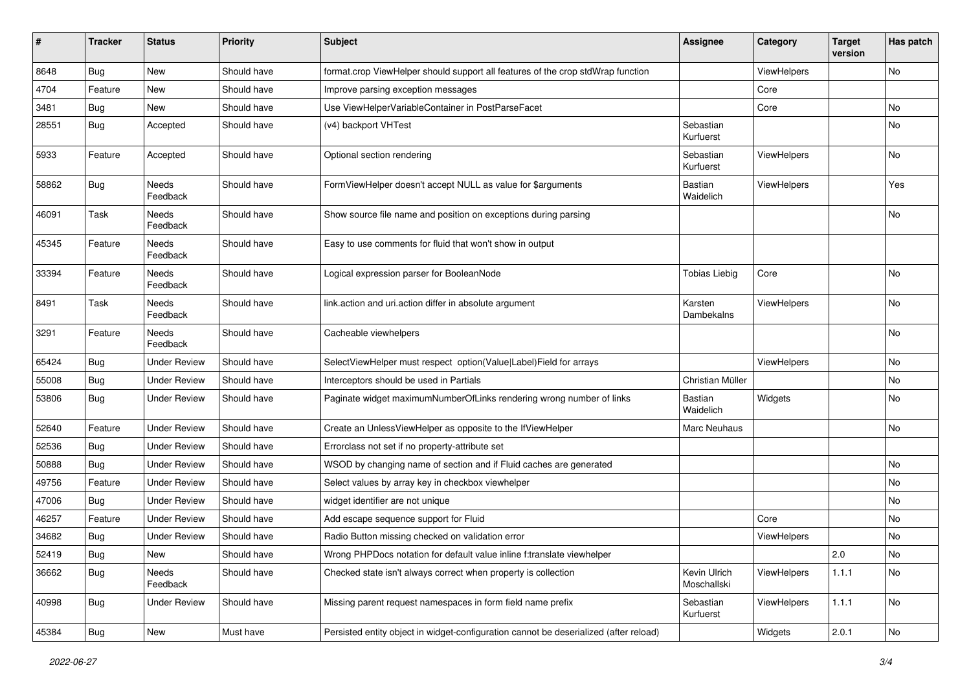| #     | <b>Tracker</b> | <b>Status</b>       | <b>Priority</b> | Subject                                                                               | <b>Assignee</b>             | Category    | <b>Target</b><br>version | Has patch |
|-------|----------------|---------------------|-----------------|---------------------------------------------------------------------------------------|-----------------------------|-------------|--------------------------|-----------|
| 8648  | Bug            | New                 | Should have     | format.crop ViewHelper should support all features of the crop stdWrap function       |                             | ViewHelpers |                          | <b>No</b> |
| 4704  | Feature        | New                 | Should have     | Improve parsing exception messages                                                    |                             | Core        |                          |           |
| 3481  | Bug            | New                 | Should have     | Use ViewHelperVariableContainer in PostParseFacet                                     |                             | Core        |                          | No        |
| 28551 | Bug            | Accepted            | Should have     | (v4) backport VHTest                                                                  | Sebastian<br>Kurfuerst      |             |                          | No        |
| 5933  | Feature        | Accepted            | Should have     | Optional section rendering                                                            | Sebastian<br>Kurfuerst      | ViewHelpers |                          | No        |
| 58862 | Bug            | Needs<br>Feedback   | Should have     | FormViewHelper doesn't accept NULL as value for \$arguments                           | <b>Bastian</b><br>Waidelich | ViewHelpers |                          | Yes       |
| 46091 | Task           | Needs<br>Feedback   | Should have     | Show source file name and position on exceptions during parsing                       |                             |             |                          | No        |
| 45345 | Feature        | Needs<br>Feedback   | Should have     | Easy to use comments for fluid that won't show in output                              |                             |             |                          |           |
| 33394 | Feature        | Needs<br>Feedback   | Should have     | Logical expression parser for BooleanNode                                             | <b>Tobias Liebig</b>        | Core        |                          | No        |
| 8491  | Task           | Needs<br>Feedback   | Should have     | link.action and uri.action differ in absolute argument                                | Karsten<br>Dambekalns       | ViewHelpers |                          | No        |
| 3291  | Feature        | Needs<br>Feedback   | Should have     | Cacheable viewhelpers                                                                 |                             |             |                          | No        |
| 65424 | Bug            | <b>Under Review</b> | Should have     | SelectViewHelper must respect option(Value Label)Field for arrays                     |                             | ViewHelpers |                          | <b>No</b> |
| 55008 | Bug            | <b>Under Review</b> | Should have     | Interceptors should be used in Partials                                               | Christian Müller            |             |                          | No        |
| 53806 | Bug            | <b>Under Review</b> | Should have     | Paginate widget maximumNumberOfLinks rendering wrong number of links                  | Bastian<br>Waidelich        | Widgets     |                          | No        |
| 52640 | Feature        | <b>Under Review</b> | Should have     | Create an UnlessViewHelper as opposite to the IfViewHelper                            | Marc Neuhaus                |             |                          | No        |
| 52536 | Bug            | <b>Under Review</b> | Should have     | Errorclass not set if no property-attribute set                                       |                             |             |                          |           |
| 50888 | Bug            | <b>Under Review</b> | Should have     | WSOD by changing name of section and if Fluid caches are generated                    |                             |             |                          | No        |
| 49756 | Feature        | <b>Under Review</b> | Should have     | Select values by array key in checkbox viewhelper                                     |                             |             |                          | No        |
| 47006 | Bug            | <b>Under Review</b> | Should have     | widget identifier are not unique                                                      |                             |             |                          | No        |
| 46257 | Feature        | <b>Under Review</b> | Should have     | Add escape sequence support for Fluid                                                 |                             | Core        |                          | No        |
| 34682 | Bug            | <b>Under Review</b> | Should have     | Radio Button missing checked on validation error                                      |                             | ViewHelpers |                          | No        |
| 52419 | Bug            | New                 | Should have     | Wrong PHPDocs notation for default value inline f:translate viewhelper                |                             |             | $\vert$ 2.0              | No        |
| 36662 | Bug            | Needs<br>Feedback   | Should have     | Checked state isn't always correct when property is collection                        | Kevin Ulrich<br>Moschallski | ViewHelpers | 1.1.1                    | No        |
| 40998 | <b>Bug</b>     | <b>Under Review</b> | Should have     | Missing parent request namespaces in form field name prefix                           | Sebastian<br>Kurfuerst      | ViewHelpers | 1.1.1                    | No        |
| 45384 | <b>Bug</b>     | New                 | Must have       | Persisted entity object in widget-configuration cannot be deserialized (after reload) |                             | Widgets     | 2.0.1                    | No        |